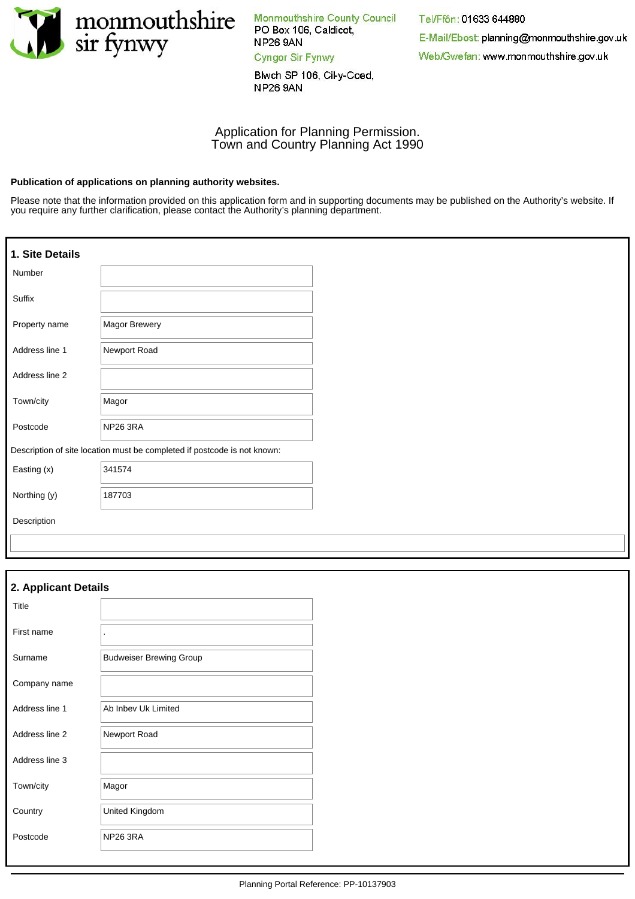

Monmouthshire County Council PO Box 106, Caldicot, **NP26 9AN** Cyngor Sir Fynwy

Blwch SP 106, Cil-y-Coed, **NP26 9AN** 

# Tel/Ffôn: 01633 644880 E-Mail/Ebost: planning@monmouthshire.gov.uk Web/Gwefan: www.monmouthshire.gov.uk

### Application for Planning Permission. Town and Country Planning Act 1990

#### **Publication of applications on planning authority websites.**

Please note that the information provided on this application form and in supporting documents may be published on the Authority's website. If you require any further clarification, please contact the Authority's planning department.

| 1. Site Details |                                                                          |
|-----------------|--------------------------------------------------------------------------|
| Number          |                                                                          |
| Suffix          |                                                                          |
| Property name   | <b>Magor Brewery</b>                                                     |
| Address line 1  | Newport Road                                                             |
| Address line 2  |                                                                          |
| Town/city       | Magor                                                                    |
| Postcode        | NP26 3RA                                                                 |
|                 | Description of site location must be completed if postcode is not known: |
| Easting (x)     | 341574                                                                   |
| Northing (y)    | 187703                                                                   |
| Description     |                                                                          |
|                 |                                                                          |

| 2. Applicant Details |                                |  |  |
|----------------------|--------------------------------|--|--|
| Title                |                                |  |  |
| First name           | $\ddot{\phantom{0}}$           |  |  |
| Surname              | <b>Budweiser Brewing Group</b> |  |  |
| Company name         |                                |  |  |
| Address line 1       | Ab Inbev Uk Limited            |  |  |
| Address line 2       | Newport Road                   |  |  |
| Address line 3       |                                |  |  |
| Town/city            | Magor                          |  |  |
| Country              | United Kingdom                 |  |  |
| Postcode             | <b>NP26 3RA</b>                |  |  |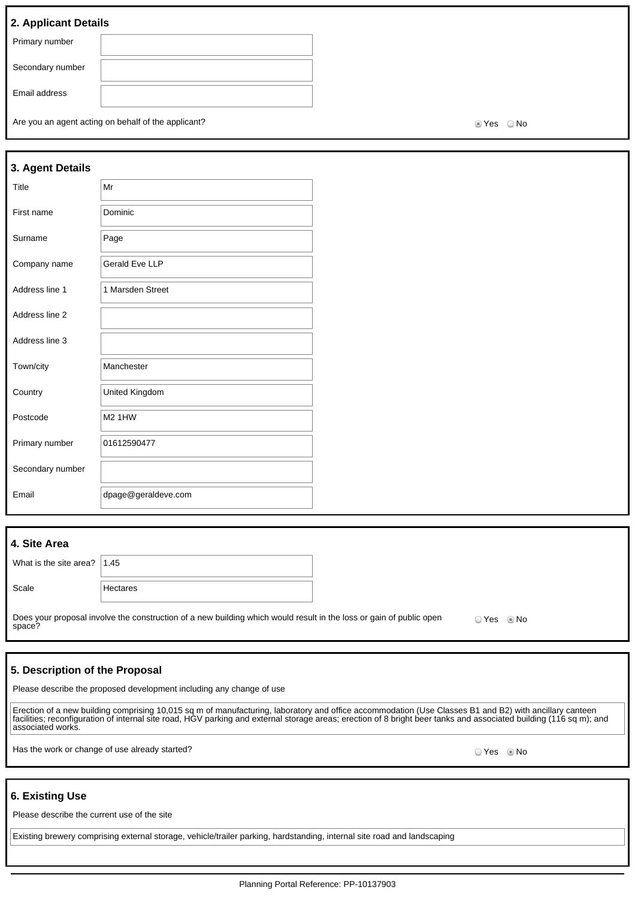### **2. Applicant Details**

| $ \cdots$ $\cdots$ $\cdots$ $ \cdots$ $\cdots$ |  |
|------------------------------------------------|--|
| Primary number                                 |  |
| Secondary number                               |  |
| Email address                                  |  |
|                                                |  |

Are you an agent acting on behalf of the applicant? Are you are set of the No Yes No

| 3. Agent Details |                       |
|------------------|-----------------------|
| Title            | Mr                    |
| First name       | Dominic               |
| Surname          | Page                  |
| Company name     | <b>Gerald Eve LLP</b> |
| Address line 1   | 1 Marsden Street      |
| Address line 2   |                       |
| Address line 3   |                       |
| Town/city        | Manchester            |
| Country          | United Kingdom        |
| Postcode         | <b>M2 1HW</b>         |
| Primary number   | 01612590477           |
| Secondary number |                       |
| Email            | dpage@geraldeve.com   |

### **4. Site Area**

| What is the site area? $ 1.45 $ |          |
|---------------------------------|----------|
| Scale                           | Hectares |

Does your proposal involve the construction of a new building which would result in the loss or gain of public open space? O Yes © No

### **5. Description of the Proposal**

Please describe the proposed development including any change of use

Erection of a new building comprising 10,015 sq m of manufacturing, laboratory and office accommodation (Use Classes B1 and B2) with ancillary canteen facilities; reconfiguration of internal site road, HGV parking and external storage areas; erection of 8 bright beer tanks and associated building (116 sq m); and associated works.

Has the work or change of use already started? The state of the state of the state of the SNo No No No No No No

### **6. Existing Use**

Please describe the current use of the site

Existing brewery comprising external storage, vehicle/trailer parking, hardstanding, internal site road and landscaping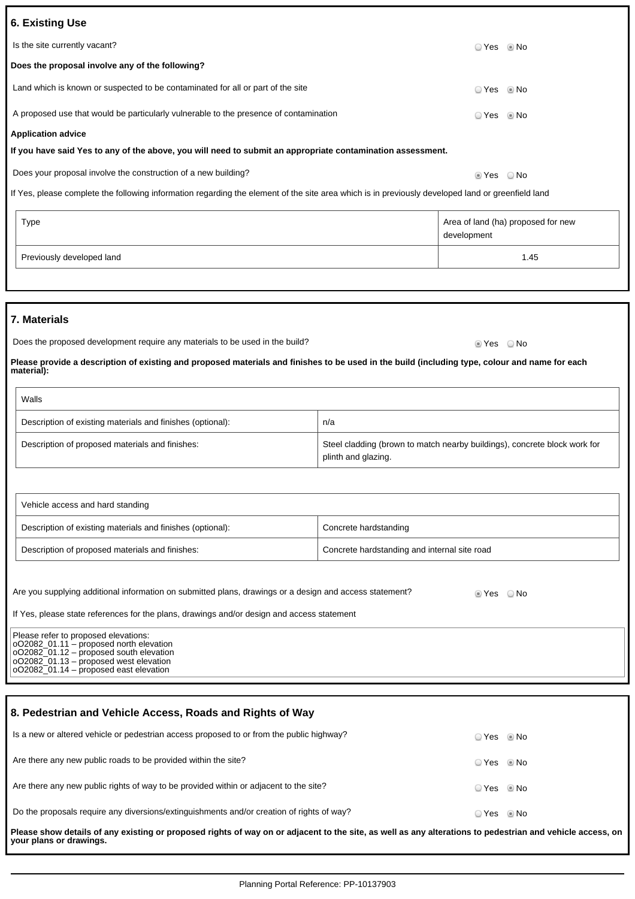| <b>6. Existing Use</b>                                                                                                                                       |                                                                                                  |             |                                    |  |
|--------------------------------------------------------------------------------------------------------------------------------------------------------------|--------------------------------------------------------------------------------------------------|-------------|------------------------------------|--|
| Is the site currently vacant?                                                                                                                                |                                                                                                  |             | © Yes     ® No                     |  |
| Does the proposal involve any of the following?                                                                                                              |                                                                                                  |             |                                    |  |
| Land which is known or suspected to be contaminated for all or part of the site                                                                              |                                                                                                  | $\circ$ Yes | l No                               |  |
| A proposed use that would be particularly vulnerable to the presence of contamination                                                                        |                                                                                                  | ○ Yes       | © No                               |  |
| <b>Application advice</b>                                                                                                                                    |                                                                                                  |             |                                    |  |
| If you have said Yes to any of the above, you will need to submit an appropriate contamination assessment.                                                   |                                                                                                  |             |                                    |  |
| Does your proposal involve the construction of a new building?                                                                                               |                                                                                                  | tes ONo     |                                    |  |
| If Yes, please complete the following information regarding the element of the site area which is in previously developed land or greenfield land            |                                                                                                  |             |                                    |  |
|                                                                                                                                                              |                                                                                                  |             |                                    |  |
| <b>Type</b>                                                                                                                                                  |                                                                                                  | development | Area of land (ha) proposed for new |  |
| Previously developed land                                                                                                                                    |                                                                                                  | 1.45        |                                    |  |
|                                                                                                                                                              |                                                                                                  |             |                                    |  |
|                                                                                                                                                              |                                                                                                  |             |                                    |  |
| 7. Materials                                                                                                                                                 |                                                                                                  |             |                                    |  |
| Does the proposed development require any materials to be used in the build?<br>■ Yes ■ No                                                                   |                                                                                                  |             |                                    |  |
| Please provide a description of existing and proposed materials and finishes to be used in the build (including type, colour and name for each<br>material): |                                                                                                  |             |                                    |  |
| Walls                                                                                                                                                        |                                                                                                  |             |                                    |  |
| Description of existing materials and finishes (optional):                                                                                                   | n/a                                                                                              |             |                                    |  |
| Description of proposed materials and finishes:                                                                                                              | Steel cladding (brown to match nearby buildings), concrete block work for<br>plinth and glazing. |             |                                    |  |
|                                                                                                                                                              |                                                                                                  |             |                                    |  |

| Vehicle access and hard standing                           |                                              |
|------------------------------------------------------------|----------------------------------------------|
| Description of existing materials and finishes (optional): | Concrete hardstanding                        |
| Description of proposed materials and finishes:            | Concrete hardstanding and internal site road |

| Are you supplying additional information on submitted plans, drawings or a design and access statement?                                                                                                                      | ties Yes | ⊙ No |
|------------------------------------------------------------------------------------------------------------------------------------------------------------------------------------------------------------------------------|----------|------|
| If Yes, please state references for the plans, drawings and/or design and access statement                                                                                                                                   |          |      |
| Please refer to proposed elevations:<br>$ 002082$ 01.11 – proposed north elevation<br>$ 002082 \t01.12 -$ proposed south elevation<br>$ 002082.01.13 -$ proposed west elevation<br>$ 002082$ 01.14 – proposed east elevation |          |      |

| 8. Pedestrian and Vehicle Access, Roads and Rights of Way                                                                                                                            |                        |  |  |
|--------------------------------------------------------------------------------------------------------------------------------------------------------------------------------------|------------------------|--|--|
| Is a new or altered vehicle or pedestrian access proposed to or from the public highway?                                                                                             | $\circ$ Yes $\circ$ No |  |  |
| Are there any new public roads to be provided within the site?                                                                                                                       | ⊙ Yes © No             |  |  |
| Are there any new public rights of way to be provided within or adjacent to the site?                                                                                                | $\circ$ Yes $\circ$ No |  |  |
| Do the proposals require any diversions/extinguishments and/or creation of rights of way?                                                                                            | ⊙ Yes © No             |  |  |
| Please show details of any existing or proposed rights of way on or adjacent to the site, as well as any alterations to pedestrian and vehicle access, on<br>your plans or drawings. |                        |  |  |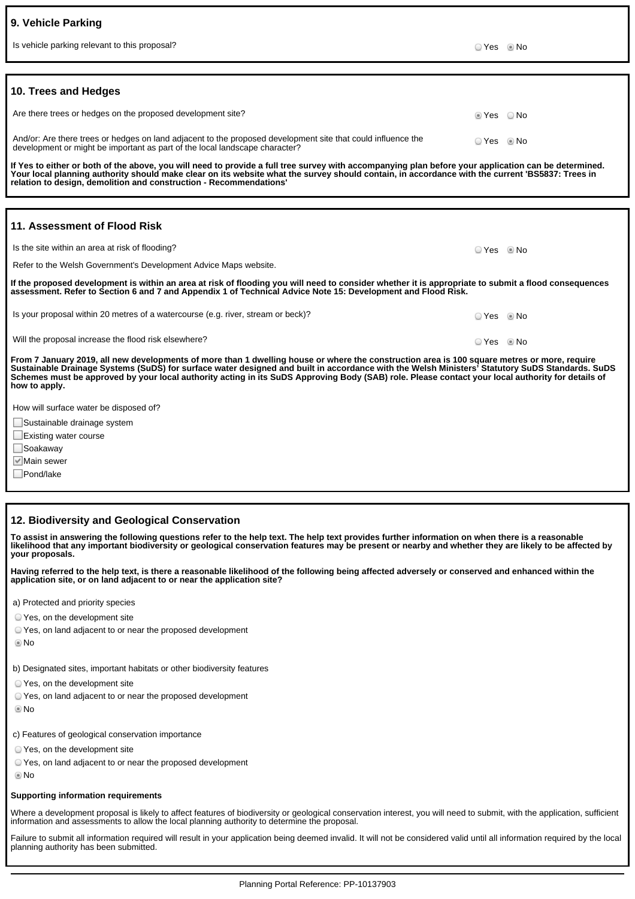|  | 9. Vehicle Parking |
|--|--------------------|
|  |                    |

| Is vehicle parking relevant to this proposal?                                                                                                                                                                                                                                                                                                                                 |            | ⊙ Yes ⊚ No |  |  |
|-------------------------------------------------------------------------------------------------------------------------------------------------------------------------------------------------------------------------------------------------------------------------------------------------------------------------------------------------------------------------------|------------|------------|--|--|
|                                                                                                                                                                                                                                                                                                                                                                               |            |            |  |  |
| 10. Trees and Hedges                                                                                                                                                                                                                                                                                                                                                          |            |            |  |  |
| Are there trees or hedges on the proposed development site?                                                                                                                                                                                                                                                                                                                   | ie Yes ⊙No |            |  |  |
| And/or: Are there trees or hedges on land adjacent to the proposed development site that could influence the<br>development or might be important as part of the local landscape character?                                                                                                                                                                                   | $OYes$ Mo  |            |  |  |
| If Yes to either or both of the above, you will need to provide a full tree survey with accompanying plan before your application can be determined.<br>Your local planning authority should make clear on its website what the survey should contain, in accordance with the current 'BS5837: Trees in<br>relation to design, demolition and construction - Recommendations' |            |            |  |  |
|                                                                                                                                                                                                                                                                                                                                                                               |            |            |  |  |
| 11. Assessment of Flood Risk                                                                                                                                                                                                                                                                                                                                                  |            |            |  |  |
| Is the site within an area at risk of flooding?                                                                                                                                                                                                                                                                                                                               | ⊙ Yes ◎ No |            |  |  |

Refer to the Welsh Government's Development Advice Maps website.

**If the proposed development is within an area at risk of flooding you will need to consider whether it is appropriate to submit a flood consequences assessment. Refer to Section 6 and 7 and Appendix 1 of Technical Advice Note 15: Development and Flood Risk.**

Is your proposal within 20 metres of a watercourse (e.g. river, stream or beck)?  $\Box$  Yes No

Will the proposal increase the flood risk elsewhere? No was not also as a set of the proposal increase the flood risk elsewhere?

**From 7 January 2019, all new developments of more than 1 dwelling house or where the construction area is 100 square metres or more, require Sustainable Drainage Systems (SuDS) for surface water designed and built in accordance with the Welsh Ministers' Statutory SuDS Standards. SuDS Schemes must be approved by your local authority acting in its SuDS Approving Body (SAB) role. Please contact your local authority for details of how to apply.**

How will surface water be disposed of?

Sustainable drainage system

Existing water course

□Soakaway

Main sewer

Pond/lake

### **12. Biodiversity and Geological Conservation**

**To assist in answering the following questions refer to the help text. The help text provides further information on when there is a reasonable likelihood that any important biodiversity or geological conservation features may be present or nearby and whether they are likely to be affected by your proposals.**

**Having referred to the help text, is there a reasonable likelihood of the following being affected adversely or conserved and enhanced within the application site, or on land adjacent to or near the application site?**

a) Protected and priority species

Yes, on the development site

Yes, on land adjacent to or near the proposed development

No

b) Designated sites, important habitats or other biodiversity features

Yes, on the development site

Yes, on land adjacent to or near the proposed development

**©** No

c) Features of geological conservation importance

Yes, on the development site

Yes, on land adjacent to or near the proposed development

No

### **Supporting information requirements**

Where a development proposal is likely to affect features of biodiversity or geological conservation interest, you will need to submit, with the application, sufficient information and assessments to allow the local planning authority to determine the proposal.

Failure to submit all information required will result in your application being deemed invalid. It will not be considered valid until all information required by the local planning authority has been submitted.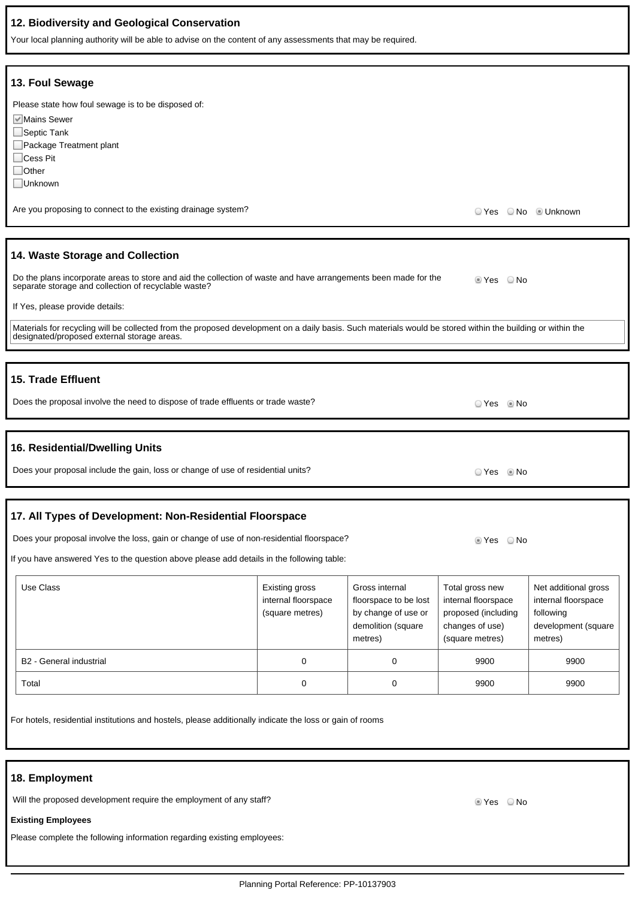### **12. Biodiversity and Geological Conservation**

Your local planning authority will be able to advise on the content of any assessments that may be required.

| 13. Foul Sewage                                                                                                                                                                                           |                     |                       |                        |                      |  |  |  |
|-----------------------------------------------------------------------------------------------------------------------------------------------------------------------------------------------------------|---------------------|-----------------------|------------------------|----------------------|--|--|--|
| Please state how foul sewage is to be disposed of:                                                                                                                                                        |                     |                       |                        |                      |  |  |  |
| Mains Sewer                                                                                                                                                                                               |                     |                       |                        |                      |  |  |  |
| $\Box$ Septic Tank                                                                                                                                                                                        |                     |                       |                        |                      |  |  |  |
| □ Package Treatment plant                                                                                                                                                                                 |                     |                       |                        |                      |  |  |  |
| Cess Pit                                                                                                                                                                                                  |                     |                       |                        |                      |  |  |  |
| $\exists$ Other                                                                                                                                                                                           |                     |                       |                        |                      |  |  |  |
| Unknown                                                                                                                                                                                                   |                     |                       |                        |                      |  |  |  |
|                                                                                                                                                                                                           |                     |                       |                        |                      |  |  |  |
| Are you proposing to connect to the existing drainage system?                                                                                                                                             |                     |                       | ○ Yes ○ No · © Unknown |                      |  |  |  |
|                                                                                                                                                                                                           |                     |                       |                        |                      |  |  |  |
| 14. Waste Storage and Collection                                                                                                                                                                          |                     |                       |                        |                      |  |  |  |
| Do the plans incorporate areas to store and aid the collection of waste and have arrangements been made for the<br>separate storage and collection of recyclable waste?                                   |                     |                       | $\circ$ Yes $\circ$ No |                      |  |  |  |
|                                                                                                                                                                                                           |                     |                       |                        |                      |  |  |  |
| If Yes, please provide details:                                                                                                                                                                           |                     |                       |                        |                      |  |  |  |
| Materials for recycling will be collected from the proposed development on a daily basis. Such materials would be stored within the building or within the<br>designated/proposed external storage areas. |                     |                       |                        |                      |  |  |  |
|                                                                                                                                                                                                           |                     |                       |                        |                      |  |  |  |
|                                                                                                                                                                                                           |                     |                       |                        |                      |  |  |  |
| 15. Trade Effluent                                                                                                                                                                                        |                     |                       |                        |                      |  |  |  |
|                                                                                                                                                                                                           |                     |                       |                        |                      |  |  |  |
| Does the proposal involve the need to dispose of trade effluents or trade waste?                                                                                                                          |                     |                       | ⊙ Yes © No             |                      |  |  |  |
|                                                                                                                                                                                                           |                     |                       |                        |                      |  |  |  |
|                                                                                                                                                                                                           |                     |                       |                        |                      |  |  |  |
| 16. Residential/Dwelling Units                                                                                                                                                                            |                     |                       |                        |                      |  |  |  |
| Does your proposal include the gain, loss or change of use of residential units?                                                                                                                          |                     |                       |                        |                      |  |  |  |
|                                                                                                                                                                                                           |                     |                       | ⊙ Yes     ® No         |                      |  |  |  |
|                                                                                                                                                                                                           |                     |                       |                        |                      |  |  |  |
|                                                                                                                                                                                                           |                     |                       |                        |                      |  |  |  |
| 17. All Types of Development: Non-Residential Floorspace                                                                                                                                                  |                     |                       |                        |                      |  |  |  |
| Does your proposal involve the loss, gain or change of use of non-residential floorspace?<br>■ Yes ■ No                                                                                                   |                     |                       |                        |                      |  |  |  |
| If you have answered Yes to the question above please add details in the following table:                                                                                                                 |                     |                       |                        |                      |  |  |  |
|                                                                                                                                                                                                           |                     |                       |                        |                      |  |  |  |
| Use Class                                                                                                                                                                                                 | Existing gross      | Gross internal        | Total gross new        | Net additional gross |  |  |  |
|                                                                                                                                                                                                           | internal floorspace | floorspace to be lost | internal floorspace    | internal floorspace  |  |  |  |
|                                                                                                                                                                                                           | (square metres)     | by change of use or   | proposed (including    | following            |  |  |  |
|                                                                                                                                                                                                           |                     | demolition (square    | changes of use)        | development (square  |  |  |  |
|                                                                                                                                                                                                           |                     | metres)               | (square metres)        | metres)              |  |  |  |
|                                                                                                                                                                                                           |                     |                       |                        |                      |  |  |  |
| $\pmb{0}$<br>0<br>B2 - General industrial<br>9900<br>9900                                                                                                                                                 |                     |                       |                        |                      |  |  |  |
| Total                                                                                                                                                                                                     | $\mathbf 0$         | 0                     | 9900                   | 9900                 |  |  |  |

For hotels, residential institutions and hostels, please additionally indicate the loss or gain of rooms

### **18. Employment**

Will the proposed development require the employment of any staff? Will the proposed of the Ves ONo

#### **Existing Employees**

Please complete the following information regarding existing employees: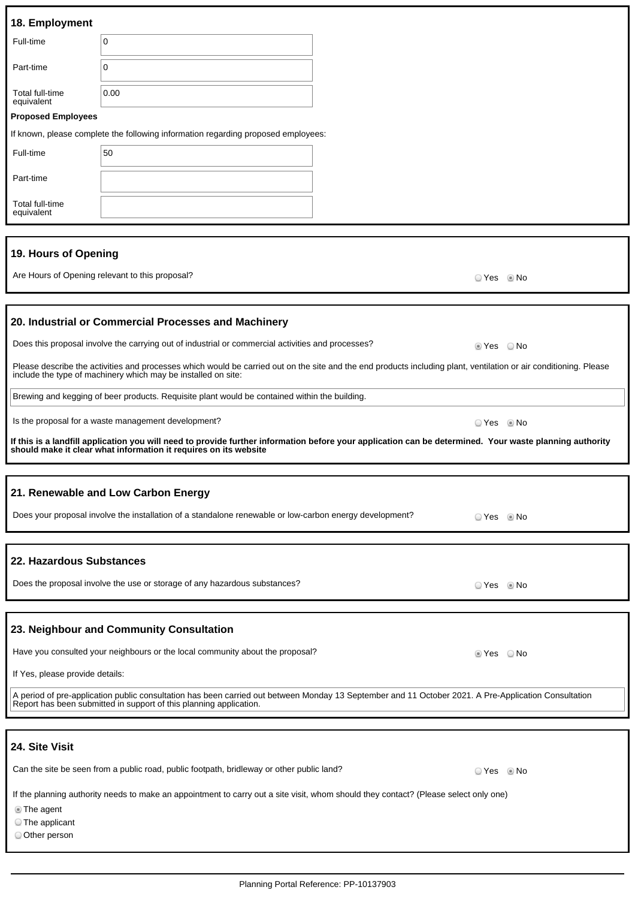| 18. Employment                                                                                                                       |                                                                                                                                                                                                                             |  |                        |      |
|--------------------------------------------------------------------------------------------------------------------------------------|-----------------------------------------------------------------------------------------------------------------------------------------------------------------------------------------------------------------------------|--|------------------------|------|
| Full-time                                                                                                                            | $\mathbf 0$                                                                                                                                                                                                                 |  |                        |      |
| Part-time                                                                                                                            | 0                                                                                                                                                                                                                           |  |                        |      |
| Total full-time<br>equivalent                                                                                                        | 0.00                                                                                                                                                                                                                        |  |                        |      |
| <b>Proposed Employees</b>                                                                                                            |                                                                                                                                                                                                                             |  |                        |      |
|                                                                                                                                      | If known, please complete the following information regarding proposed employees:                                                                                                                                           |  |                        |      |
| Full-time                                                                                                                            | 50                                                                                                                                                                                                                          |  |                        |      |
| Part-time                                                                                                                            |                                                                                                                                                                                                                             |  |                        |      |
| Total full-time<br>equivalent                                                                                                        |                                                                                                                                                                                                                             |  |                        |      |
|                                                                                                                                      |                                                                                                                                                                                                                             |  |                        |      |
| 19. Hours of Opening                                                                                                                 |                                                                                                                                                                                                                             |  |                        |      |
|                                                                                                                                      | Are Hours of Opening relevant to this proposal?                                                                                                                                                                             |  | © Yes                  | © No |
|                                                                                                                                      |                                                                                                                                                                                                                             |  |                        |      |
|                                                                                                                                      | 20. Industrial or Commercial Processes and Machinery                                                                                                                                                                        |  |                        |      |
|                                                                                                                                      | Does this proposal involve the carrying out of industrial or commercial activities and processes?                                                                                                                           |  | $\circ$ Yes $\circ$ No |      |
|                                                                                                                                      | Please describe the activities and processes which would be carried out on the site and the end products including plant, ventilation or air conditioning. Please                                                           |  |                        |      |
|                                                                                                                                      | include the type of machinery which may be installed on site:                                                                                                                                                               |  |                        |      |
|                                                                                                                                      | Brewing and kegging of beer products. Requisite plant would be contained within the building.                                                                                                                               |  |                        |      |
|                                                                                                                                      | Is the proposal for a waste management development?                                                                                                                                                                         |  | ○ Yes ◎ No             |      |
|                                                                                                                                      | If this is a landfill application you will need to provide further information before your application can be determined. Your waste planning authority<br>should make it clear what information it requires on its website |  |                        |      |
|                                                                                                                                      |                                                                                                                                                                                                                             |  |                        |      |
|                                                                                                                                      | 21. Renewable and Low Carbon Energy                                                                                                                                                                                         |  |                        |      |
| Does your proposal involve the installation of a standalone renewable or low-carbon energy development?                              |                                                                                                                                                                                                                             |  |                        |      |
| © Yes ◎ No                                                                                                                           |                                                                                                                                                                                                                             |  |                        |      |
| 22. Hazardous Substances                                                                                                             |                                                                                                                                                                                                                             |  |                        |      |
| Does the proposal involve the use or storage of any hazardous substances?<br>⊙ Yes © No                                              |                                                                                                                                                                                                                             |  |                        |      |
|                                                                                                                                      |                                                                                                                                                                                                                             |  |                        |      |
|                                                                                                                                      | 23. Neighbour and Community Consultation                                                                                                                                                                                    |  |                        |      |
|                                                                                                                                      | Have you consulted your neighbours or the local community about the proposal?                                                                                                                                               |  |                        |      |
|                                                                                                                                      |                                                                                                                                                                                                                             |  | ie Yes i No            |      |
| If Yes, please provide details:                                                                                                      |                                                                                                                                                                                                                             |  |                        |      |
|                                                                                                                                      | A period of pre-application public consultation has been carried out between Monday 13 September and 11 October 2021. A Pre-Application Consultation<br>Report has been submitted in support of this planning application.  |  |                        |      |
|                                                                                                                                      |                                                                                                                                                                                                                             |  |                        |      |
| 24. Site Visit                                                                                                                       |                                                                                                                                                                                                                             |  |                        |      |
|                                                                                                                                      | Can the site be seen from a public road, public footpath, bridleway or other public land?                                                                                                                                   |  | ⊙ Yes © No             |      |
| If the planning authority needs to make an appointment to carry out a site visit, whom should they contact? (Please select only one) |                                                                                                                                                                                                                             |  |                        |      |

The agent

The applicant

Other person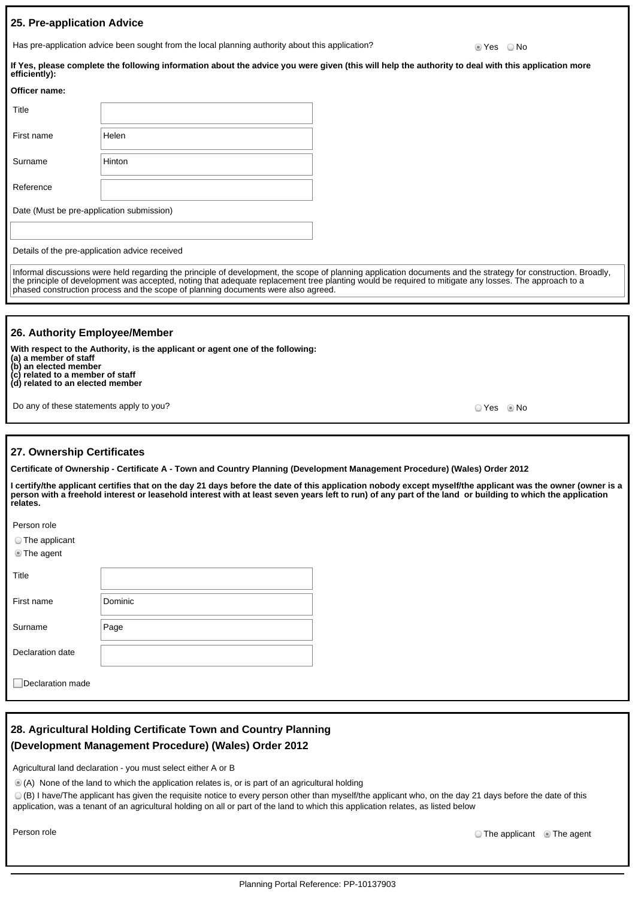### **25. Pre-application Advice**

Has pre-application advice been sought from the local planning authority about this application?  $\bullet$  Yes  $\bullet$  No

**If Yes, please complete the following information about the advice you were given (this will help the authority to deal with this application more efficiently):**

| Officer name:                             |        |  |
|-------------------------------------------|--------|--|
| Title                                     |        |  |
| First name                                | Helen  |  |
| Surname                                   | Hinton |  |
| Reference                                 |        |  |
| Date (Must be pre-application submission) |        |  |
|                                           |        |  |

Details of the pre-application advice received

Informal discussions were held regarding the principle of development, the scope of planning application documents and the strategy for construction. Broadly, the principle of development was accepted, noting that adequate replacement tree planting would be required to mitigate any losses. The approach to a phased construction process and the scope of planning documents were also agreed.

### **26. Authority Employee/Member**

**With respect to the Authority, is the applicant or agent one of the following: (a) a member of staff (b) an elected member (c) related to a member of staff (d) related to an elected member**

Do any of these statements apply to you? The set of the set of the set of the set of the set of the SNo No. No

#### **27. Ownership Certificates**

**Certificate of Ownership - Certificate A - Town and Country Planning (Development Management Procedure) (Wales) Order 2012**

**I certify/the applicant certifies that on the day 21 days before the date of this application nobody except myself/the applicant was the owner (owner is a person with a freehold interest or leasehold interest with at least seven years left to run) of any part of the land or building to which the application relates.**

Person role

|  |  | The applicant |
|--|--|---------------|
|--|--|---------------|

| The agent |  |
|-----------|--|
|-----------|--|

| Title            |         |
|------------------|---------|
| First name       | Dominic |
| Surname          | Page    |
| Declaration date |         |
|                  |         |

Declaration made

## **28. Agricultural Holding Certificate Town and Country Planning (Development Management Procedure) (Wales) Order 2012**

Agricultural land declaration - you must select either A or B

(A) None of the land to which the application relates is, or is part of an agricultural holding

(B) I have/The applicant has given the requisite notice to every person other than myself/the applicant who, on the day 21 days before the date of this application, was a tenant of an agricultural holding on all or part of the land to which this application relates, as listed below

Person role **The applicant**  $\odot$  The agent